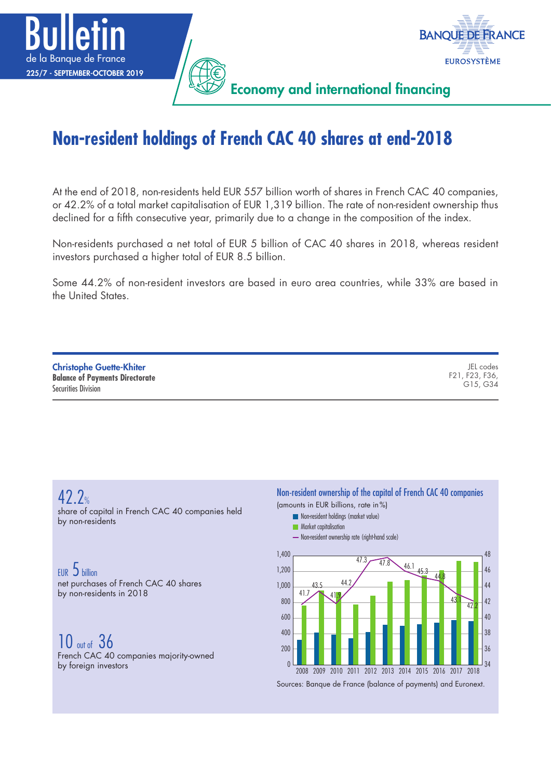



Economy and international financing

# **Non-resident holdings of French CAC 40 shares at end-2018**

At the end of 2018, non-residents held EUR 557 billion worth of shares in French CAC 40 companies, or 42.2% of a total market capitalisation of EUR 1,319 billion. The rate of non-resident ownership thus declined for a fifth consecutive year, primarily due to a change in the composition of the index.

Non-residents purchased a net total of EUR 5 billion of CAC 40 shares in 2018, whereas resident investors purchased a higher total of EUR 8.5 billion.

Some 44.2% of non-resident investors are based in euro area countries, while 33% are based in the United States.

| <b>Christophe Guette-Khiter</b>        | JEL codes      |
|----------------------------------------|----------------|
| <b>Balance of Payments Directorate</b> | F21, F23, F36, |
| <b>Securities Division</b>             | G15, G34       |

42.2% share of capital in French CAC 40 companies held by non-residents

EUR 5 billion net purchases of French CAC 40 shares by non-residents in 2018

10 out of 36 French CAC 40 companies majority-owned by foreign investors

Non-resident ownership of the capital of French CAC 40 companies

(amounts in EUR billions, rate in%)

- **Non-resident holdings (market value)**
- **Market capitalisation**
- Non-resident ownership rate (right-hand scale)



Sources: Banque de France (balance of payments) and Euronext.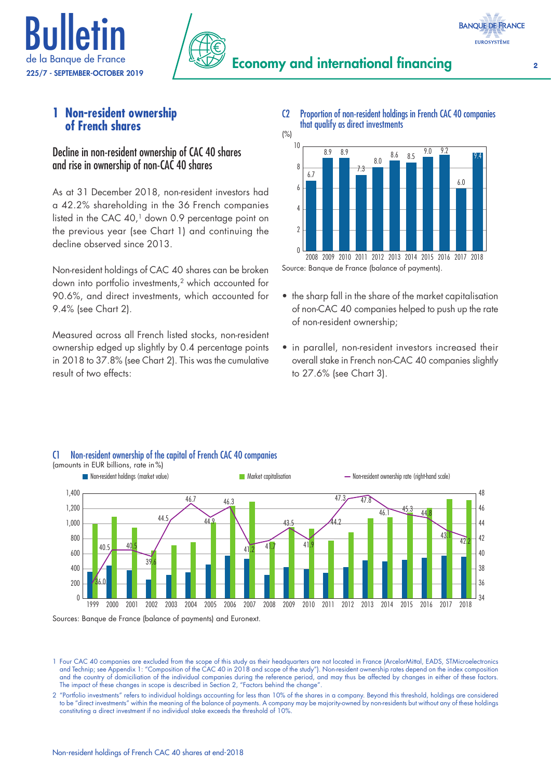



# **1 Non-resident ownership of French shares**

### Decline in non-resident ownership of CAC 40 shares and rise in ownership of non-CAC 40 shares

As at 31 December 2018, non-resident investors had a 42.2% shareholding in the 36 French companies listed in the CAC 40,<sup>1</sup> down 0.9 percentage point on the previous year (see Chart 1) and continuing the decline observed since 2013.

Non-resident holdings of CAC 40 shares can be broken down into portfolio investments,2 which accounted for 90.6%, and direct investments, which accounted for 9.4% (see Chart 2).

Measured across all French listed stocks, non-resident ownership edged up slightly by 0.4 percentage points in 2018 to 37.8% (see Chart 2). This was the cumulative result of two effects:

C2 Proportion of non-resident holdings in French CAC 40 companies that qualify as direct investments (%)



Source: Banque de France (balance of payments).

- the sharp fall in the share of the market capitalisation of non-CAC 40 companies helped to push up the rate of non-resident ownership;
- in parallel, non-resident investors increased their overall stake in French non-CAC 40 companies slightly to 27.6% (see Chart 3).



#### C1 Non-resident ownership of the capital of French CAC 40 companies (amounts in EUR billions, rate in%)

Sources: Banque de France (balance of payments) and Euronext.

1 Four CAC 40 companies are excluded from the scope of this study as their headquarters are not located in France (ArcelorMittal, EADS, STMicroelectronics and Technip; see Appendix 1: "Composition of the CAC 40 in 2018 and scope of the study"). Non-resident ownership rates depend on the index composition and the country of domiciliation of the individual companies during the reference period, and may thus be affected by changes in either of these factors. The impact of these changes in scope is described in Section 2, "Factors behind the change"

2 "Portfolio investments" refers to individual holdings accounting for less than 10% of the shares in a company. Beyond this threshold, holdings are considered to be "direct investments" within the meaning of the balance of payments. A company may be majority-owned by non-residents but without any of these holdings constituting a direct investment if no individual stake exceeds the threshold of 10%.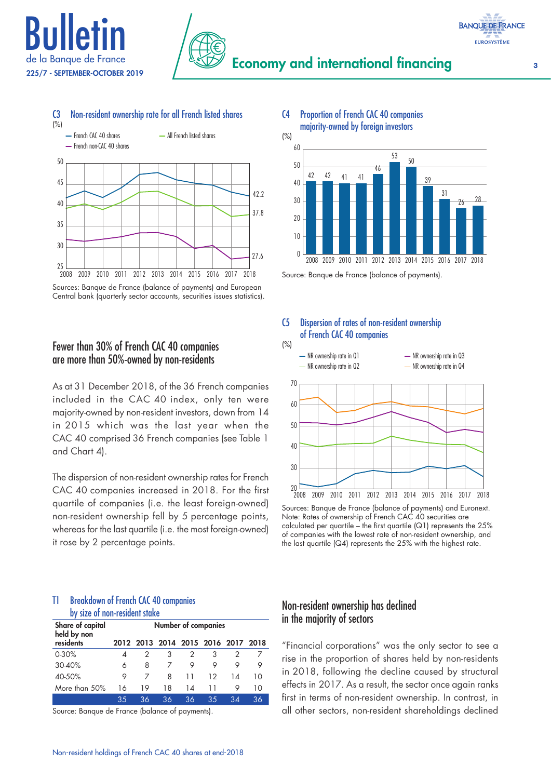





# C4 Proportion of French CAC 40 companies

majority-owned by foreign investors



Source: Banque de France (balance of payments).

C5 Dispersion of rates of non-resident ownership

of French CAC 40 companies

Sources: Banque de France (balance of payments) and European Central bank (quarterly sector accounts, securities issues statistics).

# Fewer than 30% of French CAC 40 companies are more than 50%-owned by non-residents

As at 31 December 2018, of the 36 French companies included in the CAC 40 index, only ten were majority-owned by non-resident investors, down from 14 in 2015 which was the last year when the CAC 40 comprised 36 French companies (see Table 1 and Chart 4).

The dispersion of non-resident ownership rates for French CAC 40 companies increased in 2018. For the first quartile of companies (i.e. the least foreign-owned) non-resident ownership fell by 5 percentage points, whereas for the last quartile (i.e. the most foreign-owned) it rose by 2 percentage points.

#### T1 Breakdown of French CAC 40 companies by size of non-resident stake

|                                 |    |    |    | <u>MI JILV VI IIVII IVJIMVIII JIMINV</u> |    |                                    |    |  |  |  |
|---------------------------------|----|----|----|------------------------------------------|----|------------------------------------|----|--|--|--|
| Share of capital<br>held by non |    |    |    | <b>Number of companies</b>               |    |                                    |    |  |  |  |
| residents                       |    |    |    |                                          |    | 2012 2013 2014 2015 2016 2017 2018 |    |  |  |  |
| 0.30%                           | 4  | 2  |    | 2                                        | 3  |                                    |    |  |  |  |
| 30-40%                          | 6  | 8  |    | 9                                        | 9  | 9                                  | 9  |  |  |  |
| 40-50%                          | 9  | 7  | 8  | 11                                       | 12 | 14                                 | 10 |  |  |  |
| More than 50%                   | 16 | 19 | 18 | 14                                       | 11 | 9                                  | 10 |  |  |  |
|                                 | 35 | 36 | 36 | 36                                       | 35 | 34                                 | 36 |  |  |  |

Source: Banque de France (balance of payments).



Sources: Banque de France (balance of payments) and Euronext. Note: Rates of ownership of French CAC 40 securities are calculated per quartile – the first quartile  $\lfloor Q_1 \rfloor$  represents the 25% of companies with the lowest rate of non-resident ownership, and the last quartile (Q4) represents the 25% with the highest rate.

# Non-resident ownership has declined in the majority of sectors

"Financial corporations" was the only sector to see a rise in the proportion of shares held by non-residents in 2018, following the decline caused by structural effects in 2017. As a result, the sector once again ranks first in terms of non-resident ownership. In contrast, in all other sectors, non-resident shareholdings declined

**EUROSYSTÈME**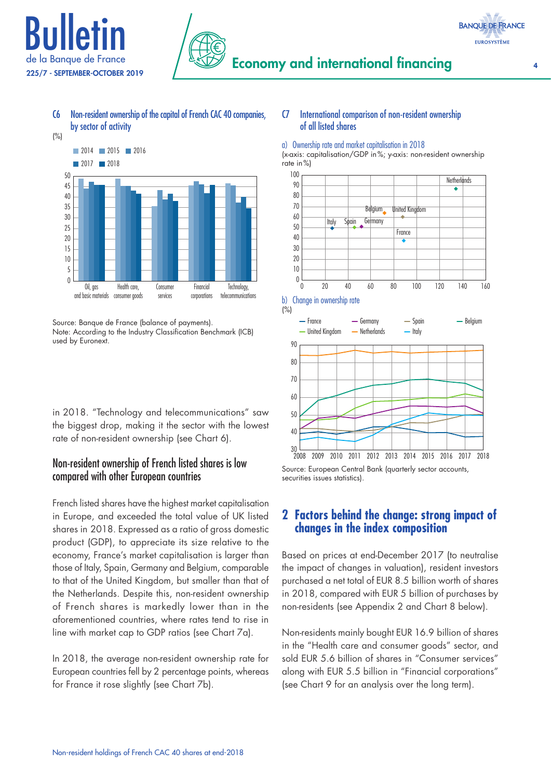

**BANQUE DE FRANCE EUROSYSTÈME** 



#### C6 Non-resident ownership of the capital of French CAC 40 companies, by sector of activity



in 2018. "Technology and telecommunications" saw the biggest drop, making it the sector with the lowest rate of non-resident ownership (see Chart 6).

# Non-resident ownership of French listed shares is low compared with other European countries

French listed shares have the highest market capitalisation in Europe, and exceeded the total value of UK listed shares in 2018. Expressed as a ratio of gross domestic product (GDP), to appreciate its size relative to the economy, France's market capitalisation is larger than those of Italy, Spain, Germany and Belgium, comparable to that of the United Kingdom, but smaller than that of the Netherlands. Despite this, non-resident ownership of French shares is markedly lower than in the aforementioned countries, where rates tend to rise in line with market cap to GDP ratios (see Chart 7a).

In 2018, the average non-resident ownership rate for European countries fell by 2 percentage points, whereas for France it rose slightly (see Chart 7b).

### C7 International comparison of non-resident ownership of all listed shares

#### a) Ownership rate and market capitalisation in 2018

(x-axis: capitalisation/GDP in%; y-axis: non-resident ownership rate in%)



Source: European Central Bank (quarterly sector accounts, securities issues statistics).

# **2 Factors behind the change: strong impact of changes in the index composition**

Based on prices at end-December 2017 (to neutralise the impact of changes in valuation), resident investors purchased a net total of EUR 8.5 billion worth of shares in 2018, compared with EUR 5 billion of purchases by non-residents (see Appendix 2 and Chart 8 below).

Non-residents mainly bought EUR 16.9 billion of shares in the "Health care and consumer goods" sector, and sold EUR 5.6 billion of shares in "Consumer services" along with EUR 5.5 billion in "Financial corporations" (see Chart 9 for an analysis over the long term).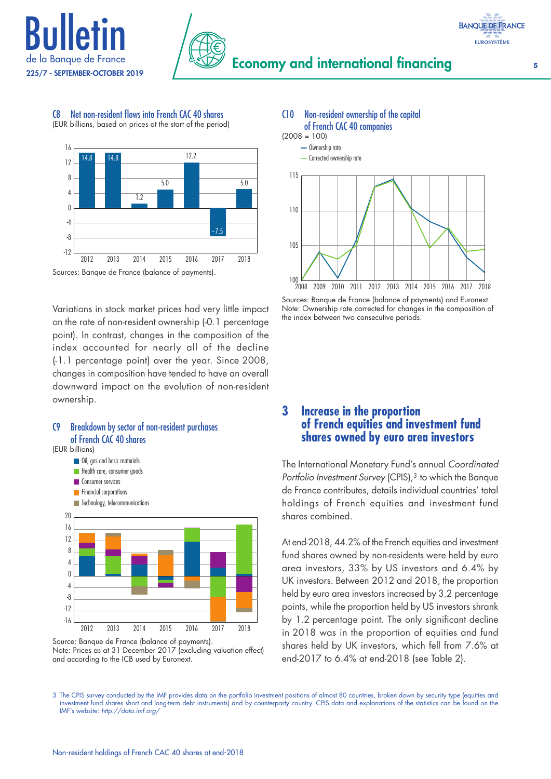







Sources: Banque de France (balance of payments).

Variations in stock market prices had very little impact on the rate of non-resident ownership (-0.1 percentage point). In contrast, changes in the composition of the index accounted for nearly all of the decline (-1.1 percentage point) over the year. Since 2008, changes in composition have tended to have an overall downward impact on the evolution of non-resident ownership.









Sources: Banque de France (balance of payments) and Euronext. Note: Ownership rate corrected for changes in the composition of the index between two consecutive periods.

# **3 Increase in the proportion of French equities and investment fund shares owned by euro area investors**

The International Monetary Fund's annual *Coordinated Portfolio Investment Survey* (CPIS),<sup>3</sup> to which the Banque de France contributes, details individual countries' total holdings of French equities and investment fund shares combined.

At end-2018, 44.2% of the French equities and investment fund shares owned by non-residents were held by euro area investors, 33% by US investors and 6.4% by UK investors. Between 2012 and 2018, the proportion held by euro area investors increased by 3.2 percentage points, while the proportion held by US investors shrank by 1.2 percentage point. The only significant decline in 2018 was in the proportion of equities and fund shares held by UK investors, which fell from 7.6% at end-2017 to 6.4% at end-2018 (see Table 2).

3 The CPIS survey conducted by the IMF provides data on the portfolio investment positions of almost 80 countries, broken down by security type (equities and investment fund shares short and long-term debt instruments) and by counterparty country. CPIS data and explanations of the statistics can be found on the IMF's website: *<http://data.imf.org/>*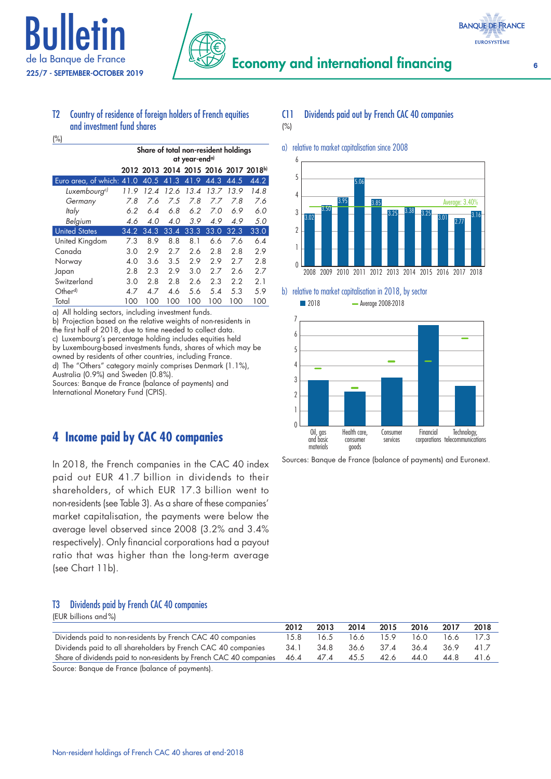

 $(% )$ 



#### T2 Country of residence of foreign holders of French equities and investment fund shares

|                           | Share of total non-resident holdings<br>at year-end <sup>a)</sup> |      |      |      |      |      |                                      |
|---------------------------|-------------------------------------------------------------------|------|------|------|------|------|--------------------------------------|
|                           |                                                                   |      |      |      |      |      | 2012 2013 2014 2015 2016 2017 2018b) |
| Euro area, of which: 41.0 |                                                                   | 40.5 | 41.3 | 41.9 | 44.3 | 44.5 | 44.2                                 |
| Luxembourg <sup>c)</sup>  | 11.9                                                              | 12.4 | 12.6 | 13.4 | 13.7 | 13.9 | 14.8                                 |
| Germany                   | 7.8                                                               | 7.6  | 7.5  | 7.8  | 7.7  | 7.8  | 7.6                                  |
| Italy                     | 6.2                                                               | 6.4  | 6.8  | 6.2  | 7.0  | 6.9  | 6.0                                  |
| Belgium                   | 4.6                                                               | 4.0  | 4.0  | 3.9  | 4.9  | 4.9  | 5.0                                  |
| <b>United States</b>      | 34.2                                                              | 34.3 | 33.4 | 33.3 | 33.0 | 32.3 | 33.0                                 |
| United Kingdom            | 7.3                                                               | 8.9  | 8.8  | 8.1  | 6.6  | 7.6  | 6.4                                  |
| Canada                    | 3.0                                                               | 2.9  | 2.7  | 2.6  | 2.8  | 2.8  | 2.9                                  |
| Norway                    | 4.0                                                               | 3.6  | 3.5  | 2.9  | 2.9  | 2.7  | 2.8                                  |
| Japan                     | 2.8                                                               | 2.3  | 2.9  | 3.0  | 2.7  | 2.6  | 2.7                                  |
| Switzerland               | 3.0                                                               | 2.8  | 2.8  | 2.6  | 2.3  | 2.2  | 2.1                                  |
| Other <sup>d)</sup>       | 4.7                                                               | 4.7  | 4.6  | 5.6  | 5.4  | 5.3  | 5.9                                  |
| Total                     | 100                                                               | 100  | 100  | 100  | 100  | 100  | 100                                  |

a) All holding sectors, including investment funds.

b) Projection based on the relative weights of non-residents in the first half of 2018, due to time needed to collect data. c) Luxembourg's percentage holding includes equities held by Luxembourg-based investments funds, shares of which may be owned by residents of other countries, including France. d) The "Others" category mainly comprises Denmark (1.1%), Australia (0.9%) and Sweden (0.8%). Sources: Banque de France (balance of payments) and International Monetary Fund (CPIS).

# **4 Income paid by CAC 40 companies**

In 2018, the French companies in the CAC 40 index paid out EUR 41.7 billion in dividends to their shareholders, of which EUR 17.3 billion went to non-residents (see Table 3). As a share of these companies' market capitalisation, the payments were below the average level observed since 2008 (3.2% and 3.4% respectively). Only financial corporations had a payout ratio that was higher than the long-term average (see Chart 11b).

#### T3 Dividends paid by French CAC 40 companies (EUR billions and%)

| ILON DIIIOID UNU /0]                                                |      |           |      |      |      |      |      |
|---------------------------------------------------------------------|------|-----------|------|------|------|------|------|
|                                                                     | 2012 | 2013      | 2014 | 2015 | 2016 | 2017 | 2018 |
| Dividends paid to non-residents by French CAC 40 companies          | 15.8 | 16.5      | 16.6 | 15.9 | 16.0 | 16.6 | 17.3 |
| Dividends paid to all shareholders by French CAC 40 companies       | 34.1 | 34.8      | 36.6 | 37.4 | 36.4 | 36.9 | 41.7 |
| Share of dividends paid to non-residents by French CAC 40 companies |      | 46.4 47.4 | 45.5 | 42.6 | 44.0 | 44.8 | 41.6 |
| Source: Banque de France (balance of payments).                     |      |           |      |      |      |      |      |

#### C11 Dividends paid out by French CAC 40 companies

#### (%)



# b) relative to market capitalisation in 2018, by sector

**2018** Average 2008-2018



Sources: Banque de France (balance of payments) and Euronext.

**BANQUE DE FRANCE EUROSYSTÈME**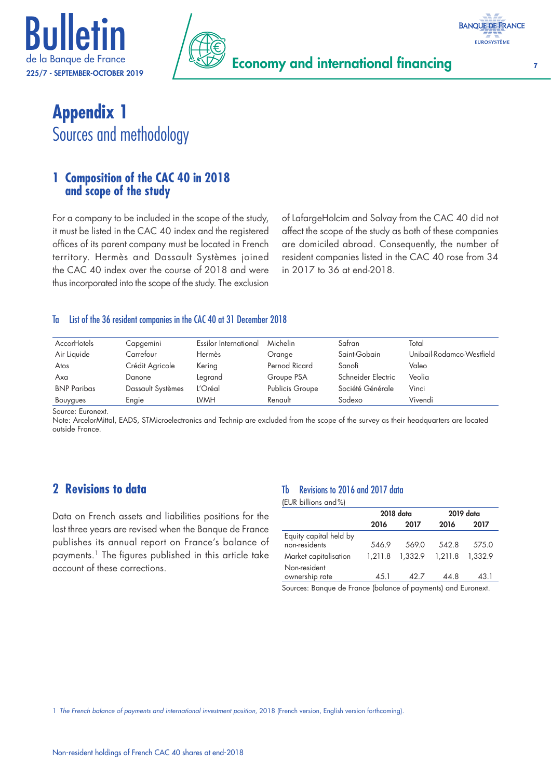





# **Appendix 1** Sources and methodology

# **1 Composition of the CAC 40 in 2018 and scope of the study**

For a company to be included in the scope of the study, it must be listed in the CAC 40 index and the registered offices of its parent company must be located in French territory. Hermès and Dassault Systèmes joined the CAC 40 index over the course of 2018 and were thus incorporated into the scope of the study. The exclusion of LafargeHolcim and Solvay from the CAC 40 did not affect the scope of the study as both of these companies are domiciled abroad. Consequently, the number of resident companies listed in the CAC 40 rose from 34 in 2017 to 36 at end-2018.

#### Ta List of the 36 resident companies in the CAC 40 at 31 December 2018

| <b>AccorHotels</b> | Capgemini         | Essilor International | Michelin               | Safran             | Total                     |
|--------------------|-------------------|-----------------------|------------------------|--------------------|---------------------------|
| Air Liquide        | Carrefour         | Hermès                | Orange                 | Saint-Gobain       | Unibail-Rodamco-Westfield |
| Atos               | Crédit Agricole   | Kering                | Pernod Ricard          | Sanofi             | Valeo                     |
| Axa                | Danone            | Legrand               | Groupe PSA             | Schneider Electric | Veolia                    |
| <b>BNP Paribas</b> | Dassault Systèmes | L'Oréal               | <b>Publicis Groupe</b> | Société Générale   | Vinci                     |
| Bouygues           | Engie             | LVMH                  | Renault                | Sodexo             | Vivendi                   |

Source: Euronext.

Note: ArcelorMittal, EADS, STMicroelectronics and Technip are excluded from the scope of the survey as their headquarters are located outside France.

# **2 Revisions to data**

Data on French assets and liabilities positions for the last three years are revised when the Banque de France publishes its annual report on France's balance of payments.1 The figures published in this article take account of these corrections.

### Tb Revisions to 2016 and 2017 data

(EUR billions and%)

|                                         |         | 2018 data |         | 2019 data |
|-----------------------------------------|---------|-----------|---------|-----------|
|                                         | 2016    | 2017      | 2016    | 2017      |
| Equity capital held by<br>non-residents | 546.9   | 569.0     | 542.8   | 575.0     |
| Market capitalisation                   | 1,211.8 | 1,332.9   | 1.211.8 | 1.332.9   |
| Non-resident<br>ownership rate          | 45.1    | 42.7      | 44.8    | 43.1      |
|                                         |         |           |         |           |

Sources: Banque de France (balance of payments) and Euronext.

1 *[The French balance of payments and international investment position](https://www.banque-france.fr/search-es?term=rapport+annuel+de+la+balance+des+paiements+et+la+position+%0Aexterieure+de+la+france)*, 2018 (French version, English version forthcoming).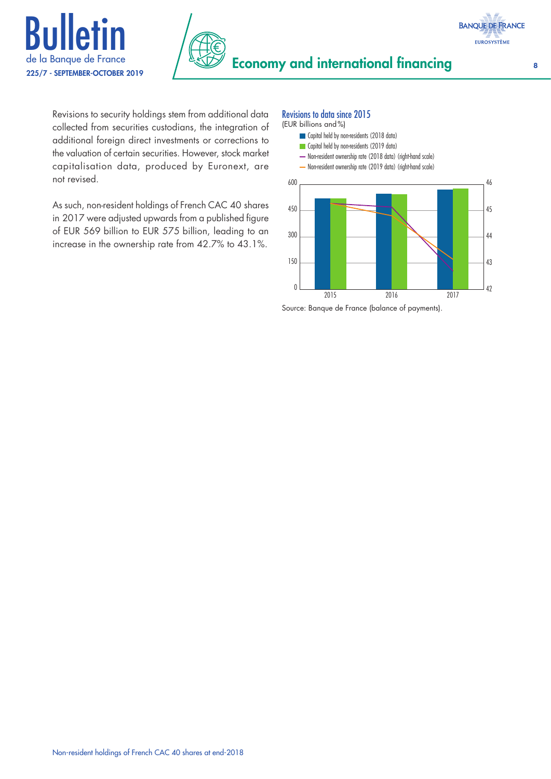



Revisions to security holdings stem from additional data collected from securities custodians, the integration of additional foreign direct investments or corrections to the valuation of certain securities. However, stock market capitalisation data, produced by Euronext, are not revised.

As such, non-resident holdings of French CAC 40 shares in 2017 were adjusted upwards from a published figure of EUR 569 billion to EUR 575 billion, leading to an increase in the ownership rate from 42.7% to 43.1%.

#### Revisions to data since 2015



Source: Banque de France (balance of payments).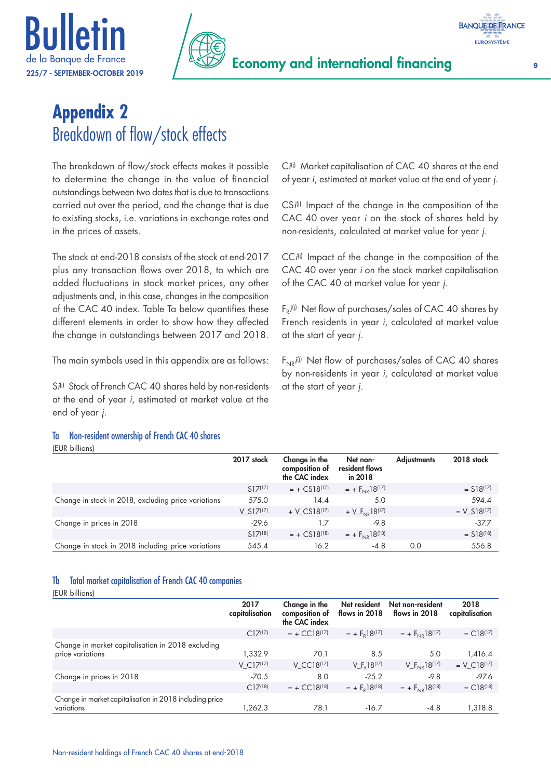



# **Appendix 2** Breakdown of flow/stock effects

The breakdown of flow/stock effects makes it possible to determine the change in the value of financial outstandings between two dates that is due to transactions carried out over the period, and the change that is due to existing stocks, i.e. variations in exchange rates and in the prices of assets.

The stock at end-2018 consists of the stock at end-2017 plus any transaction flows over 2018, to which are added fluctuations in stock market prices, any other adjustments and, in this case, changes in the composition of the CAC 40 index. Table Ta below quantifies these different elements in order to show how they affected the change in outstandings between 2017 and 2018.

The main symbols used in this appendix are as follows:

S*i*(i) Stock of French CAC 40 shares held by non-residents at the end of year *i*, estimated at market value at the end of year *j*.

#### Ta Non-resident ownership of French CAC 40 shares

#### (EUR billions)

C*i*<sup>(i)</sup> Market capitalisation of CAC 40 shares at the end of year *i*, estimated at market value at the end of year *j*.

CS*i*<sup>(i)</sup> Impact of the change in the composition of the CAC 40 over year *i* on the stock of shares held by non-residents, calculated at market value for year *j*.

CC<sup>*i*(i)</sup> Impact of the change in the composition of the CAC 40 over year *i* on the stock market capitalisation of the CAC 40 at market value for year *j*.

F<sub>R</sub>i<sup>(i)</sup> Net flow of purchases/sales of CAC 40 shares by French residents in year *i*, calculated at market value at the start of year *j*.

F<sub>NR</sub>i<sup>(i)</sup> Net flow of purchases/sales of CAC 40 shares by non-residents in year *i*, calculated at market value at the start of year *j*.

|                                                     | 2017 stock   | Change in the<br>composition of<br>the CAC index | Net non-<br>resident flows<br>in 2018 | <b>Adiustments</b> | 2018 stock              |
|-----------------------------------------------------|--------------|--------------------------------------------------|---------------------------------------|--------------------|-------------------------|
|                                                     | $S17^{(17)}$ | $= + CSI8(17)$                                   | $= + F_{N} 18^{(17)}$                 |                    | $=$ S18(17)             |
| Change in stock in 2018, excluding price variations | 575.0        | 14.4                                             | 5.0                                   |                    | 594.4                   |
|                                                     | $V$ S17(17)  | + V $CS18^{[17]}$                                | + $V_F_{N1P}$ 18(17)                  |                    | $= V S18(17)$           |
| Change in prices in 2018                            | $-29.6$      | 17                                               | $-9.8$                                |                    | $-37.7$                 |
|                                                     | $S17^{[18]}$ | $= + CSI8^{18}$                                  | $= + F_{N1} 18^{(18)}$                |                    | $=$ S18 <sup>(18)</sup> |
| Change in stock in 2018 including price variations  | 545.4        | 16.2                                             | $-4.8$                                | 0.0                | 556.8                   |

#### Tb Total market capitalisation of French CAC 40 companies

(EUR billions)

|                                                                       | 2017<br>capitalisation | Change in the<br>composition of<br>the CAC index | Net resident<br>flows in $2018$     | Net non-resident<br>flows in 2018 | 2018<br>capitalisation |
|-----------------------------------------------------------------------|------------------------|--------------------------------------------------|-------------------------------------|-----------------------------------|------------------------|
|                                                                       | $C17^{(17)}$           | $= + CCl8(17)$                                   | $= + FD18(17)$                      | $= + F_{NIR} 18^{(17)}$           | $= C18^{(17)}$         |
| Change in market capitalisation in 2018 excluding<br>price variations | 1.332.9                | 70.1                                             | 8.5                                 | 5.0                               | 1,416.4                |
|                                                                       | $V C17^{17}$           | V CC18 <sup>(17)</sup>                           | V F <sub>p</sub> 18 <sup>(17)</sup> | $V_F_{NR}18^{(17)}$               | $= V C18^{17}$         |
| Change in prices in 2018                                              | $-70.5$                | 8.0                                              | $-25.2$                             | $-9.8$                            | $-97.6$                |
|                                                                       | $C17^{[18]}$           | $= + CCl8[18]$                                   | $= + FD18(18)$                      | $= + F_{N} 18^{(18)}$             | $= C18^{(18)}$         |
| Change in market capitalisation in 2018 including price<br>variations | 1.262.3                | 78.1                                             | $-16.7$                             | $-4.8$                            | 1,318.8                |

**BANQUE DE FRANCE EUROSYSTÈME**